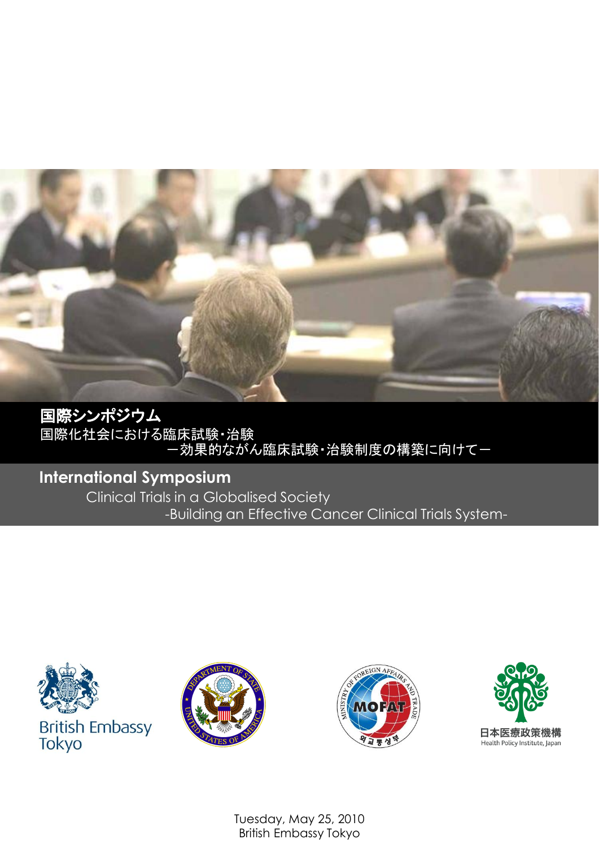

国際シンポジウム 国際化社会における臨床試験・治験 ー効果的ながん臨床試験・治験制度の構築に向けてー

# **International Symposium**

Clinical Trials in a Globalised Society -Building an Effective Cancer Clinical Trials System-







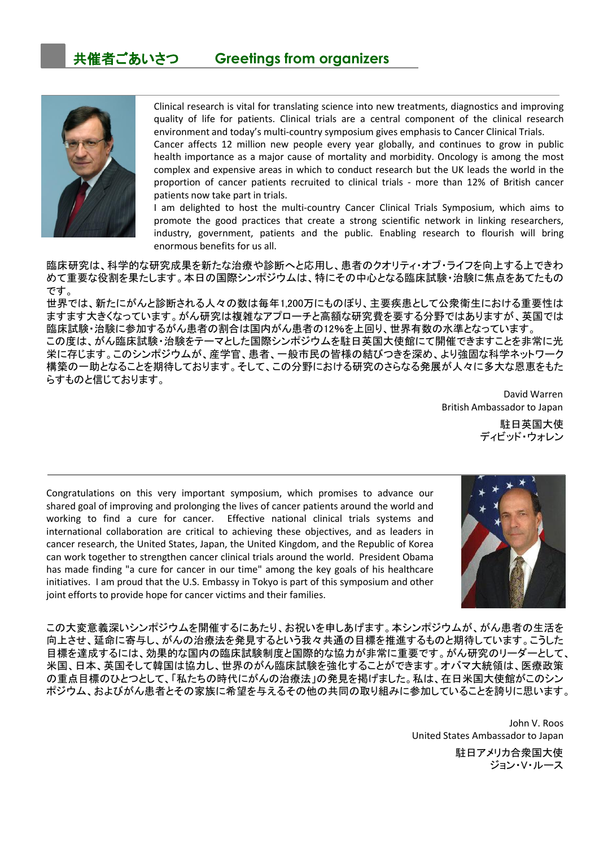

Clinical research is vital for translating science into new treatments, diagnostics and improving quality of life for patients. Clinical trials are a central component of the clinical research environment and today's multi-country symposium gives emphasis to Cancer Clinical Trials.

Cancer affects 12 million new people every year globally, and continues to grow in public health importance as a major cause of mortality and morbidity. Oncology is among the most complex and expensive areas in which to conduct research but the UK leads the world in the proportion of cancer patients recruited to clinical trials - more than 12% of British cancer patients now take part in trials.

I am delighted to host the multi-country Cancer Clinical Trials Symposium, which aims to promote the good practices that create a strong scientific network in linking researchers, industry, government, patients and the public. Enabling research to flourish will bring enormous benefits for us all.

臨床研究は、科学的な研究成果を新たな治療や診断へと応用し、患者のクオリティ・オブ・ライフを向上する上できわ めて重要な役割を果たします。本日の国際シンポジウムは、特にその中心となる臨床試験・治験に焦点をあてたもの です。

世界では、新たにがんと診断される人々の数は毎年1,200万にものぼり、主要疾患として公衆衛生における重要性は ますます大きくなっています。がん研究は複雑なアプローチと高額な研究費を要する分野ではありますが、英国では 臨床試験・治験に参加するがん患者の割合は国内がん患者の12%を上回り、世界有数の水準となっています。 この度は、がん臨床試験・治験をテーマとした国際シンポジウムを駐日英国大使館にて開催できますことを非常に光 栄に存じます。このシンポジウムが、産学官、患者、一般市民の皆様の結びつきを深め、より強固な科学ネットワーク 構築の一助となることを期待しております。そして、この分野における研究のさらなる発展が人々に多大な恩恵をもた らすものと信じております。

> David Warren British Ambassador to Japan

駐日英国大使 ディビッド・ウォレン

Congratulations on this very important symposium, which promises to advance our shared goal of improving and prolonging the lives of cancer patients around the world and working to find a cure for cancer. Effective national clinical trials systems and international collaboration are critical to achieving these objectives, and as leaders in cancer research, the United States, Japan, the United Kingdom, and the Republic of Korea can work together to strengthen cancer clinical trials around the world. President Obama has made finding "a cure for cancer in our time" among the key goals of his healthcare initiatives. I am proud that the U.S. Embassy in Tokyo is part of this symposium and other joint efforts to provide hope for cancer victims and their families.



この大変意義深いシンポジウムを開催するにあたり、お祝いを申しあげます。本シンポジウムが、がん患者の生活を 向上させ、延命に寄与し、がんの治療法を発見するという我々共通の目標を推進するものと期待しています。こうした 目標を達成するには、効果的な国内の臨床試験制度と国際的な協力が非常に重要です。がん研究のリーダーとして、 米国、日本、英国そして韓国は協力し、世界のがん臨床試験を強化することができます。オバマ大統領は、医療政策 の重点目標のひとつとして、「私たちの時代にがんの治療法」の発見を掲げました。私は、在日米国大使館がこのシン ポジウム、およびがん患者とその家族に希望を与えるその他の共同の取り組みに参加していることを誇りに思います。

> John V. Roos United States Ambassador to Japan

> > 駐日アメリカ合衆国大使 ジョン・V・ルース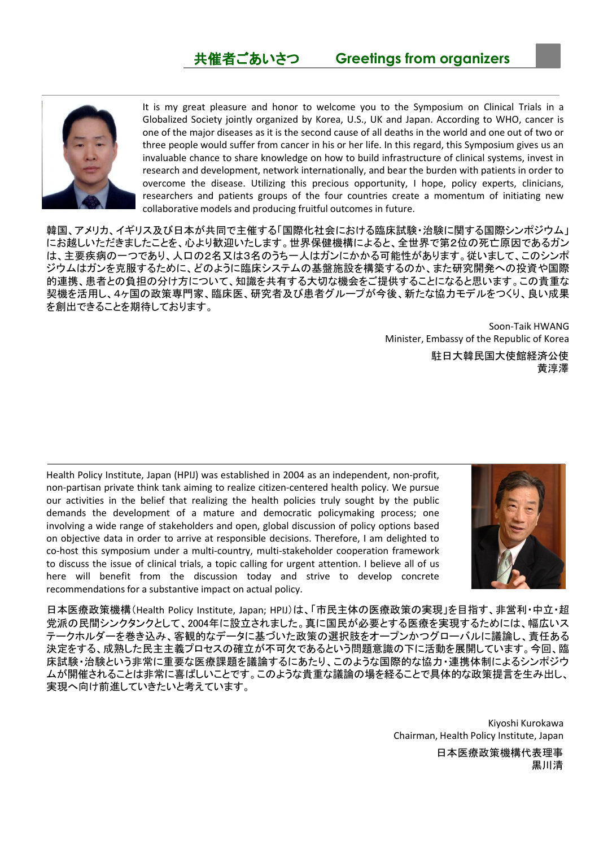

It is my great pleasure and honor to welcome you to the Symposium on Clinical Trials in a Globalized Society jointly organized by Korea, U.S., UK and Japan. According to WHO, cancer is one of the major diseases as it is the second cause of all deaths in the world and one out of two or three people would suffer from cancer in his or her life. In this regard, this Symposium gives us an invaluable chance to share knowledge on how to build infrastructure of clinical systems, invest in research and development, network internationally, and bear the burden with patients in order to overcome the disease. Utilizing this precious opportunity, I hope, policy experts, clinicians, researchers and patients groups of the four countries create a momentum of initiating new collaborative models and producing fruitful outcomes in future.

韓国、アメリカ、イギリス及び日本が共同で主催する「国際化社会における臨床試験・治験に関する国際シンポジウム」 にお越しいただきましたことを、心より歓迎いたします。世界保健機構によると、全世界で第2位の死亡原因であるガン は、主要疾病の一つであり、人口の2名又は3名のうち一人はガンにかかる可能性があります。従いまして、このシンポ ジウムはガンを克服するために、どのように臨床システムの基盤施設を構築するのか、また研究開発への投資や国際 的連携、患者との負担の分け方について、知識を共有する大切な機会をご提供することになると思います。この貴重な 契機を活用し、4ヶ国の政策専門家、臨床医、研究者及び患者グループが今後、新たな協力モデルをつくり、良い成果 を創出できることを期待しております。

> Soon-Taik HWANG Minister, Embassy of the Republic of Korea

> > 駐日大韓民国大使館経済公使 黄淳澤

Health Policy Institute, Japan (HPIJ) was established in 2004 as an independent, non-profit, non-partisan private think tank aiming to realize citizen-centered health policy. We pursue our activities in the belief that realizing the health policies truly sought by the public demands the development of a mature and democratic policymaking process; one involving a wide range of stakeholders and open, global discussion of policy options based on objective data in order to arrive at responsible decisions. Therefore, I am delighted to co-host this symposium under a multi-country, multi-stakeholder cooperation framework to discuss the issue of clinical trials, a topic calling for urgent attention. I believe all of us here will benefit from the discussion today and strive to develop concrete recommendations for a substantive impact on actual policy.



日本医療政策機構(Health Policy Institute, Japan; HPIJ)は、「市民主体の医療政策の実現」を目指す、非営利・中立・超 党派の民間シンクタンクとして、2004年に設立されました。真に国民が必要とする医療を実現するためには、幅広いス テークホルダーを巻き込み、客観的なデータに基づいた政策の選択肢をオープンかつグローバルに議論し、責任ある 決定をする、成熟した民主主義プロセスの確立が不可欠であるという問題意識の下に活動を展開しています。今回、臨 床試験・治験という非常に重要な医療課題を議論するにあたり、このような国際的な協力・連携体制によるシンポジウ ムが開催されることは非常に喜ばしいことです。このような貴重な議論の場を経ることで具体的な政策提言を生み出し、 実現へ向け前進していきたいと考えています。

> Kiyoshi Kurokawa Chairman, Health Policy Institute, Japan

> > 日本医療政策機構代表理事 黒川清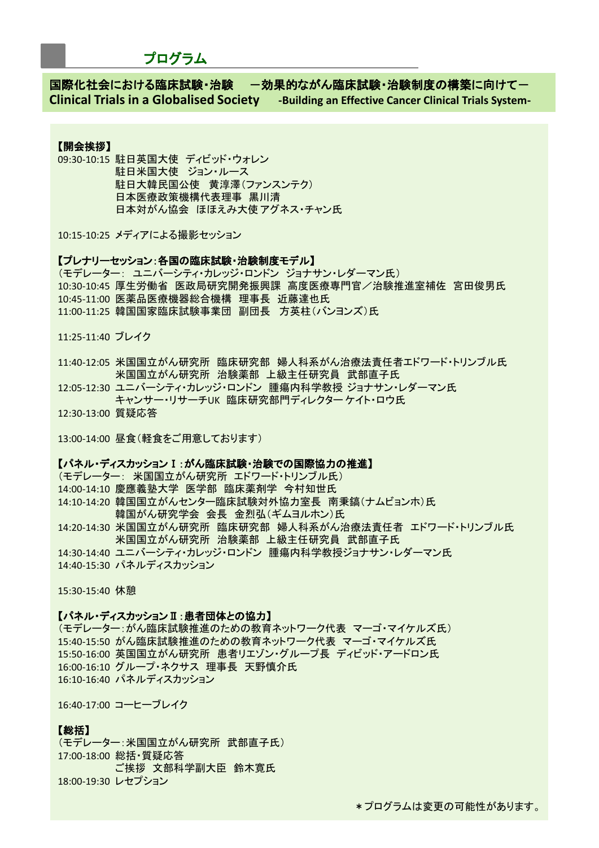# プログラム

国際化社会における臨床試験・治験 - つ効果的ながん臨床試験・治験制度の構築に向けて一 **Clinical Trials in a Globalised Society -Building an Effective Cancer Clinical Trials System-**

# 【開会挨拶】

09:30-10:15 駐日英国大使 ディビッド・ウォレン 駐日米国大使 ジョン・ルース 駐日大韓民国公使 黄淳澤(ファンスンテク) 日本医療政策機構代表理事 黒川清 日本対がん協会 ほほえみ大使 アグネス・チャン氏

10:15-10:25 メディアによる撮影セッション

# 【プレナリーセッション:各国の臨床試験・治験制度モデル】

(モデレーター: ユニバーシティ・カレッジ・ロンドン ジョナサン・レダーマン氏) 10:30-10:45 厚生労働省 医政局研究開発振興課 高度医療専門官/治験推進室補佐 宮田俊男氏 10:45-11:00 医薬品医療機器総合機構 理事長 近藤達也氏 11:00-11:25 韓国国家臨床試験事業団 副団長 方英柱(バンヨンズ)氏

11:25-11:40 ブレイク

11:40-12:05 米国国立がん研究所 臨床研究部 婦人科系がん治療法責任者エドワード・トリンブル氏 米国国立がん研究所 治験薬部 上級主任研究員 武部直子氏

12:05-12:30 ユニバーシティ・カレッジ・ロンドン 腫瘍内科学教授 ジョナサン・レダーマン氏 キャンサー・リサーチUK 臨床研究部門ディレクター ケイト・ロウ氏

12:30-13:00 質疑応答

13:00-14:00 昼食(軽食をご用意しております)

# 【パネル・ディスカッションⅠ:がん臨床試験・治験での国際協力の推進】

(モデレーター: 米国国立がん研究所 エドワード・トリンブル氏) 14:00-14:10 慶應義塾大学 医学部 臨床薬剤学 今村知世氏 14:10-14:20 韓国国立がんセンター臨床試験対外協力室長 南秉鎬(ナムビョンホ)氏 韓国がん研究学会 会長 金烈弘(ギムヨルホン)氏 14:20-14:30 米国国立がん研究所 臨床研究部 婦人科系がん治療法責任者 エドワード・トリンブル氏 米国国立がん研究所 治験薬部 上級主任研究員 武部直子氏 14:30-14:40 ユニバーシティ・カレッジ・ロンドン 腫瘍内科学教授ジョナサン・レダーマン氏 14:40-15:30 パネルディスカッション

15:30-15:40 休憩

#### 【パネル・ディスカッションⅡ:患者団体との協力】

(モデレーター:がん臨床試験推進のための教育ネットワーク代表 マーゴ・マイケルズ氏) 15:40-15:50 がん臨床試験推進のための教育ネットワーク代表 マーゴ・マイケルズ氏 15:50-16:00 英国国立がん研究所 患者リエゾン・グループ長 ディビッド・アードロン氏 16:00-16:10 グループ・ネクサス 理事長 天野慎介氏 16:10-16:40 パネルディスカッション

16:40-17:00 コーヒーブレイク

#### 【総括】

(モデレーター:米国国立がん研究所 武部直子氏) 17:00-18:00 総括・質疑応答 ご挨拶 文部科学副大臣 鈴木寛氏 18:00-19:30 レセプション

\*プログラムは変更の可能性があります。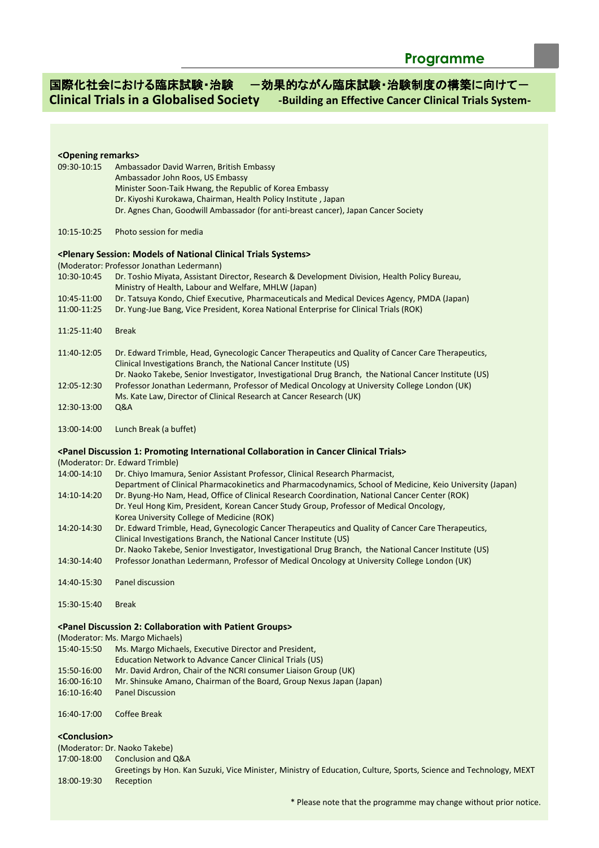# 国際化社会における臨床試験・治験 一効果的ながん臨床試験・治験制度の構築に向けて一 **Clinical Trials in a Globalised Society -Building an Effective Cancer Clinical Trials System-**

# **<Opening remarks>** 09:30-10:15 Ambassador David Warren, British Embassy Ambassador John Roos, US Embassy Minister Soon-Taik Hwang, the Republic of Korea Embassy Dr. Kiyoshi Kurokawa, Chairman, Health Policy Institute , Japan Dr. Agnes Chan, Goodwill Ambassador (for anti-breast cancer), Japan Cancer Society 10:15-10:25 Photo session for media **<Plenary Session: Models of National Clinical Trials Systems>** (Moderator: Professor Jonathan Ledermann) 10:30-10:45 Dr. Toshio Miyata, Assistant Director, Research & Development Division, Health Policy Bureau, Ministry of Health, Labour and Welfare, MHLW (Japan) 10:45-11:00 Dr. Tatsuya Kondo, Chief Executive, Pharmaceuticals and Medical Devices Agency, PMDA (Japan) 11:00-11:25 Dr. Yung-Jue Bang, Vice President, Korea National Enterprise for Clinical Trials (ROK) 11:25-11:40 Break 11:40-12:05 Dr. Edward Trimble, Head, Gynecologic Cancer Therapeutics and Quality of Cancer Care Therapeutics, Clinical Investigations Branch, the National Cancer Institute (US) Dr. Naoko Takebe, Senior Investigator, Investigational Drug Branch, the National Cancer Institute (US) 12:05-12:30 Professor Jonathan Ledermann, Professor of Medical Oncology at University College London (UK) Ms. Kate Law, Director of Clinical Research at Cancer Research (UK) 12:30-13:00 Q&A 13:00-14:00 Lunch Break (a buffet) **<Panel Discussion 1: Promoting International Collaboration in Cancer Clinical Trials>** (Moderator: Dr. Edward Trimble) 14:00-14:10 Dr. Chiyo Imamura, Senior Assistant Professor, Clinical Research Pharmacist, Department of Clinical Pharmacokinetics and Pharmacodynamics, School of Medicine, Keio University (Japan) 14:10-14:20 Dr. Byung-Ho Nam, Head, Office of Clinical Research Coordination, National Cancer Center (ROK) Dr. Yeul Hong Kim, President, Korean Cancer Study Group, Professor of Medical Oncology, Korea University College of Medicine (ROK) 14:20-14:30 Dr. Edward Trimble, Head, Gynecologic Cancer Therapeutics and Quality of Cancer Care Therapeutics, Clinical Investigations Branch, the National Cancer Institute (US) Dr. Naoko Takebe, Senior Investigator, Investigational Drug Branch, the National Cancer Institute (US) 14:30-14:40 Professor Jonathan Ledermann, Professor of Medical Oncology at University College London (UK) 14:40-15:30 Panel discussion 15:30-15:40 Break **<Panel Discussion 2: Collaboration with Patient Groups>** (Moderator: Ms. Margo Michaels) 15:40-15:50 Ms. Margo Michaels, Executive Director and President, Education Network to Advance Cancer Clinical Trials (US) 15:50-16:00 Mr. David Ardron, Chair of the NCRI consumer Liaison Group (UK) 16:00-16:10 Mr. Shinsuke Amano, Chairman of the Board, Group Nexus Japan (Japan) 16:10-16:40 Panel Discussion 16:40-17:00 Coffee Break **<Conclusion>**

(Moderator: Dr. Naoko Takebe)

17:00-18:00 Conclusion and Q&A

Greetings by Hon. Kan Suzuki, Vice Minister, Ministry of Education, Culture, Sports, Science and Technology, MEXT 18:00-19:30 Reception

\* Please note that the programme may change without prior notice.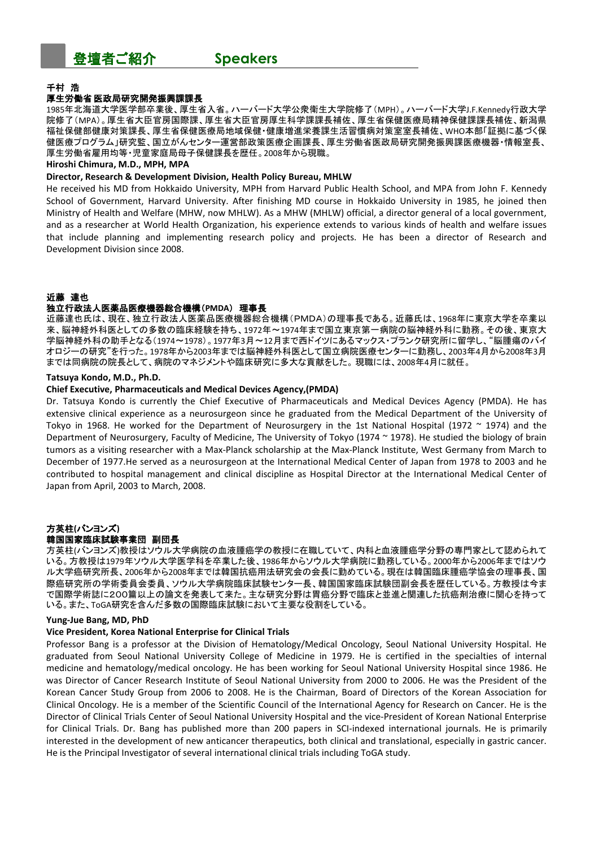

# 千村 浩

#### 厚生労働省 医政局研究開発振興課課長

1985年北海道大学医学部卒業後、厚生省入省。ハーバード大学公衆衛生大学院修了(MPH)。ハーバード大学J.F.Kennedy行政大学 院修了(MPA)。厚生省大臣官房国際課、厚生省大臣官房厚生科学課課長補佐、厚生省保健医療局精神保健課課長補佐、新潟県 福祉保健部健康対策課長、厚生省保健医療局地域保健・健康増進栄養課生活習慣病対策室室長補佐、WHO本部「証拠に基づく保 健医療プログラム」研究監、国立がんセンター運営部政策医療企画課長、厚生労働省医政局研究開発振興課医療機器・情報室長、 厚生労働省雇用均等・児童家庭局母子保健課長を歴任。2008年から現職。

#### **Hiroshi Chimura, M.D., MPH, MPA**

#### **Director, Research & Development Division, Health Policy Bureau, MHLW**

He received his MD from Hokkaido University, MPH from Harvard Public Health School, and MPA from John F. Kennedy School of Government, Harvard University. After finishing MD course in Hokkaido University in 1985, he joined then Ministry of Health and Welfare (MHW, now MHLW). As a MHW (MHLW) official, a director general of a local government, and as a researcher at World Health Organization, his experience extends to various kinds of health and welfare issues that include planning and implementing research policy and projects. He has been a director of Research and Development Division since 2008.

#### 近藤 達也

#### 独立行政法人医薬品医療機器総合機構(**PMDA**) 理事長

近藤達也氏は、現在、独立行政法人医薬品医療機器総合機構(PMDA)の理事長である。近藤氏は、1968年に東京大学を卒業以 来、脳神経外科医としての多数の臨床経験を持ち、1972年~1974年まで国立東京第一病院の脳神経外科に勤務。その後、東京大 学脳神経外科の助手となる(1974~1978)。1977年3月~12月まで西ドイツにあるマックス・プランク研究所に留学し、"脳腫瘍のバイ オロジーの研究"を行った。1978年から2003年までは脳神経外科医として国立病院医療センターに勤務し、2003年4月から2008年3月 までは同病院の院長として、病院のマネジメントや臨床研究に多大な貢献をした。 現職には、2008年4月に就任。

#### **Tatsuya Kondo, M.D., Ph.D.**

#### **Chief Executive, Pharmaceuticals and Medical Devices Agency,(PMDA)**

Dr. Tatsuya Kondo is currently the Chief Executive of Pharmaceuticals and Medical Devices Agency (PMDA). He has extensive clinical experience as a neurosurgeon since he graduated from the Medical Department of the University of Tokyo in 1968. He worked for the Department of Neurosurgery in the 1st National Hospital (1972  $\sim$  1974) and the Department of Neurosurgery, Faculty of Medicine, The University of Tokyo (1974 ~ 1978). He studied the biology of brain tumors as a visiting researcher with a Max-Planck scholarship at the Max-Planck Institute, West Germany from March to December of 1977.He served as a neurosurgeon at the International Medical Center of Japan from 1978 to 2003 and he contributed to hospital management and clinical discipline as Hospital Director at the International Medical Center of Japan from April, 2003 to March, 2008.

## 方英柱**(**バンヨンズ**)** 韓国国家臨床試験事業団 副団長

方英柱(バンヨンズ)教授はソウル大学病院の血液腫癌学の教授に在職していて、内科と血液腫癌学分野の専門家として認められて いる。方教授は1979年ソウル大学医学科を卒業した後、1986年からソウル大学病院に勤務している。2000年から2006年まではソウ ル大学癌研究所長、2006年から2008年までは韓国抗癌用法研究会の会長に勤めている。現在は韓国臨床腫癌学協会の理事長、国 際癌研究所の学術委員会委員、ソウル大学病院臨床試験センター長、韓国国家臨床試験団副会長を歴任している。方教授は今ま で国際学術誌に200篇以上の論文を発表して来た。主な研究分野は胃癌分野で臨床と並進と関連した抗癌剤治療に関心を持って いる。また、ToGA研究を含んだ多数の国際臨床試験において主要な役割をしている。

#### **Yung-Jue Bang, MD, PhD**

#### **Vice President, Korea National Enterprise for Clinical Trials**

Professor Bang is a professor at the Division of Hematology/Medical Oncology, Seoul National University Hospital. He graduated from Seoul National University College of Medicine in 1979. He is certified in the specialties of internal medicine and hematology/medical oncology. He has been working for Seoul National University Hospital since 1986. He was Director of Cancer Research Institute of Seoul National University from 2000 to 2006. He was the President of the Korean Cancer Study Group from 2006 to 2008. He is the Chairman, Board of Directors of the Korean Association for Clinical Oncology. He is a member of the Scientific Council of the International Agency for Research on Cancer. He is the Director of Clinical Trials Center of Seoul National University Hospital and the vice-President of Korean National Enterprise for Clinical Trials. Dr. Bang has published more than 200 papers in SCI-indexed international journals. He is primarily interested in the development of new anticancer therapeutics, both clinical and translational, especially in gastric cancer. He is the Principal Investigator of several international clinical trials including ToGA study.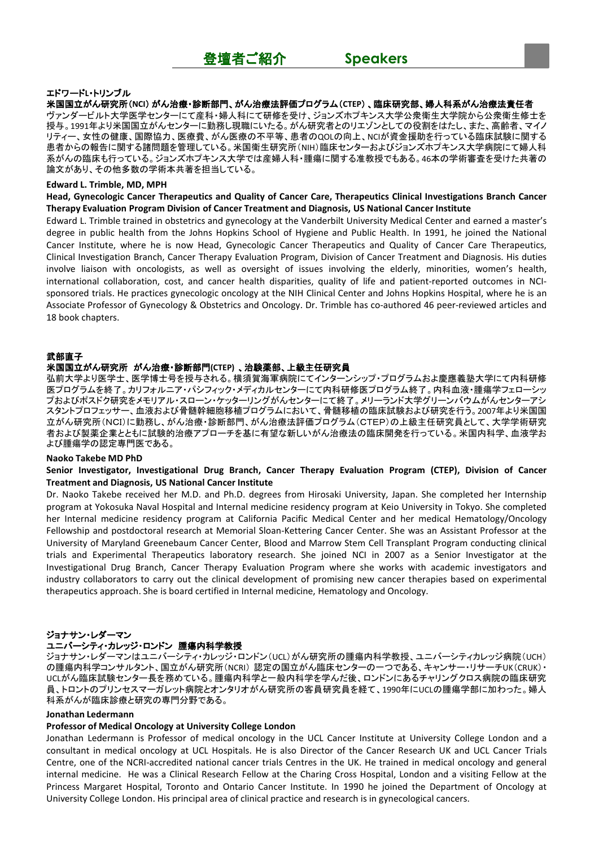#### エドワード**L**・トリンブル

米国国立がん研究所(**NCI**) がん治療・診断部門、がん治療法評価プログラム(**CTEP**) 、臨床研究部、婦人科系がん治療法責任者 ヴァンダービルト大学医学センターにて産科・婦人科にて研修を受け、ジョンズホプキンス大学公衆衛生大学院から公衆衛生修士を 授与。1991年より米国国立がんセンターに勤務し現職にいたる。がん研究者とのリエゾンとしての役割をはたし、また、高齢者、マイノ リティー、女性の健康、国際協力、医療費、がん医療の不平等、患者のQOLの向上、NCIが資金援助を行っている臨床試験に関する 患者からの報告に関する諸問題を管理している。米国衛生研究所(NIH)臨床センターおよびジョンズホプキンス大学病院にて婦人科 系がんの臨床も行っている。ジョンズホプキンス大学では産婦人科・腫瘍に関する准教授でもある。46本の学術審査を受けた共著の 論文があり、その他多数の学術本共著を担当している。

#### **Edward L. Trimble, MD, MPH**

**Head, Gynecologic Cancer Therapeutics and Quality of Cancer Care, Therapeutics Clinical Investigations Branch Cancer Therapy Evaluation Program Division of Cancer Treatment and Diagnosis, US National Cancer Institute**

Edward L. Trimble trained in obstetrics and gynecology at the Vanderbilt University Medical Center and earned a master's degree in public health from the Johns Hopkins School of Hygiene and Public Health. In 1991, he joined the National Cancer Institute, where he is now Head, Gynecologic Cancer Therapeutics and Quality of Cancer Care Therapeutics, Clinical Investigation Branch, Cancer Therapy Evaluation Program, Division of Cancer Treatment and Diagnosis. His duties involve liaison with oncologists, as well as oversight of issues involving the elderly, minorities, women's health, international collaboration, cost, and cancer health disparities, quality of life and patient-reported outcomes in NCIsponsored trials. He practices gynecologic oncology at the NIH Clinical Center and Johns Hopkins Hospital, where he is an Associate Professor of Gynecology & Obstetrics and Oncology. Dr. Trimble has co-authored 46 peer-reviewed articles and 18 book chapters.

### 武部直子

#### 米国国立がん研究所 がん治療・診断部門**(CTEP)** 、治験薬部、上級主任研究員

弘前大学より医学士、医学博士号を授与される。横須賀海軍病院にてインターンシップ・プログラムおよ慶應義塾大学にて内科研修 医プログラムを終了。カリフォルニア・パシフィック・メディカルセンターにて内科研修医プログラム終了。内科血液・腫瘍学フェローシッ プおよびポスドク研究をメモリアル・スローン・ケッターリングがんセンターにて終了。メリーランド大学グリーンバウムがんセンターアシ スタントプロフェッサー、血液および骨髄幹細胞移植プログラムにおいて、骨髄移植の臨床試験および研究を行う。2007年より米国国 立がん研究所(NCI)に勤務し、がん治療・診断部門、がん治療法評価プログラム(CTEP)の上級主任研究員として、大学学術研究 者および製薬企業とともに試験的治療アプローチを基に有望な新しいがん治療法の臨床開発を行っている。米国内科学、血液学お よび腫瘍学の認定専門医である。

#### **Naoko Takebe MD PhD**

#### **Senior Investigator, Investigational Drug Branch, Cancer Therapy Evaluation Program (CTEP), Division of Cancer Treatment and Diagnosis, US National Cancer Institute**

Dr. Naoko Takebe received her M.D. and Ph.D. degrees from Hirosaki University, Japan. She completed her Internship program at Yokosuka Naval Hospital and Internal medicine residency program at Keio University in Tokyo. She completed her Internal medicine residency program at California Pacific Medical Center and her medical Hematology/Oncology Fellowship and postdoctoral research at Memorial Sloan-Kettering Cancer Center. She was an Assistant Professor at the University of Maryland Greenebaum Cancer Center, Blood and Marrow Stem Cell Transplant Program conducting clinical trials and Experimental Therapeutics laboratory research. She joined NCI in 2007 as a Senior Investigator at the Investigational Drug Branch, Cancer Therapy Evaluation Program where she works with academic investigators and industry collaborators to carry out the clinical development of promising new cancer therapies based on experimental therapeutics approach. She is board certified in Internal medicine, Hematology and Oncology.

## ジョナサン・レダーマン

# ユニバーシティ・カレッジ・ロンドン 腫瘍内科学教授

ジョナサン・レダーマンはユニバーシティ・カレッジ・ロンドン(UCL)がん研究所の腫瘍内科学教授、ユニバーシティカレッジ病院(UCH) の腫瘍内科学コンサルタント、国立がん研究所(NCRI) 認定の国立がん臨床センターの一つである、キャンサー・リサーチUK(CRUK)・ UCLがん臨床試験センター長を務めている。腫瘍内科学と一般内科学を学んだ後、ロンドンにあるチャリングクロス病院の臨床研究 員、トロントのプリンセスマーガレット病院とオンタリオがん研究所の客員研究員を経て、1990年にUCLの腫瘍学部に加わった。婦人 科系がんが臨床診療と研究の専門分野である。

#### **Jonathan Ledermann**

#### **Professor of Medical Oncology at University College London**

Jonathan Ledermann is Professor of medical oncology in the UCL Cancer Institute at University College London and a consultant in medical oncology at UCL Hospitals. He is also Director of the Cancer Research UK and UCL Cancer Trials Centre, one of the NCRI-accredited national cancer trials Centres in the UK. He trained in medical oncology and general internal medicine. He was a Clinical Research Fellow at the Charing Cross Hospital, London and a visiting Fellow at the Princess Margaret Hospital, Toronto and Ontario Cancer Institute. In 1990 he joined the Department of Oncology at University College London. His principal area of clinical practice and research is in gynecological cancers.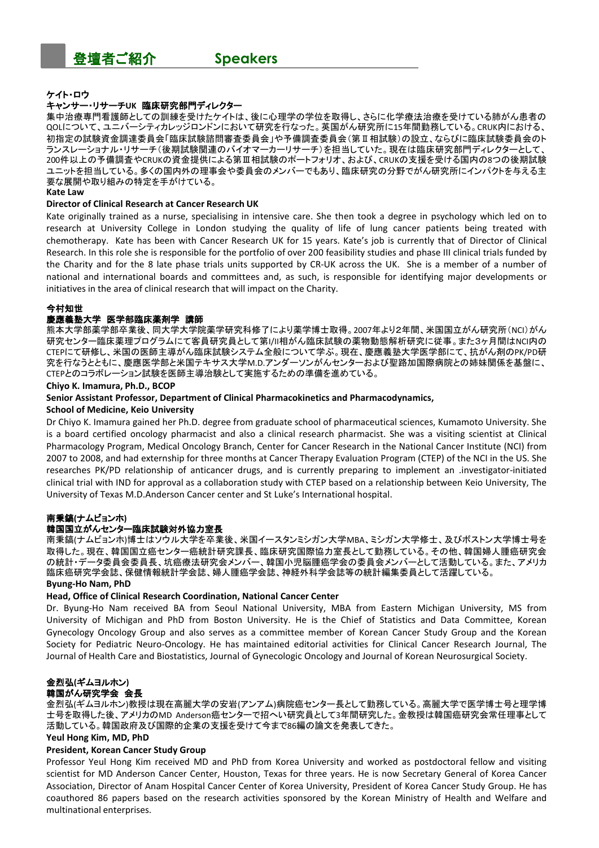### ケイト・ロウ

#### キャンサー・リサーチ**UK** 臨床研究部門ディレクター

集中治療専門看護師としての訓練を受けたケイトは、後に心理学の学位を取得し、さらに化学療法治療を受けている肺がん患者の QOLについて、ユニバーシティカレッジロンドンにおいて研究を行なった。英国がん研究所に15年間勤務している。CRUK内における、 初指定の試験資金調達委員会「臨床試験諮問審査委員会」や予備調査委員会(第Ⅱ相試験)の設立、ならびに臨床試験委員会のト ランスレーショナル・リサーチ(後期試験関連のバイオマーカーリサーチ)を担当していた。現在は臨床研究部門ディレクターとして、 200件以上の予備調査やCRUKの資金提供による第Ⅲ相試験のポートフォリオ、および、CRUKの支援を受ける国内の8つの後期試験 ユニットを担当している。多くの国内外の理事会や委員会のメンバーでもあり、臨床研究の分野でがん研究所にインパクトを与える主 要な展開や取り組みの特定を手がけている。

#### **Kate Law**

#### **Director of Clinical Research at Cancer Research UK**

Kate originally trained as a nurse, specialising in intensive care. She then took a degree in psychology which led on to research at University College in London studying the quality of life of lung cancer patients being treated with chemotherapy. Kate has been with Cancer Research UK for 15 years. Kate's job is currently that of Director of Clinical Research. In this role she is responsible for the portfolio of over 200 feasibility studies and phase III clinical trials funded by the Charity and for the 8 late phase trials units supported by CR-UK across the UK. She is a member of a number of national and international boards and committees and, as such, is responsible for identifying major developments or initiatives in the area of clinical research that will impact on the Charity.

#### 今村知世

#### 慶應義塾大学 医学部臨床薬剤学 講師

熊本大学部薬学部卒業後、同大学大学院薬学研究科修了により薬学博士取得。2007年より2年間、米国国立がん研究所(NCI)がん 研究センター臨床薬理プログラムにて客員研究員として第I/II相がん臨床試験の薬物動態解析研究に従事。また3ヶ月間はNCI内の CTEPにて研修し、米国の医師主導がん臨床試験システム全般について学ぶ。現在、慶應義塾大学医学部にて、抗がん剤のPK/PD研 究を行なうとともに、慶應医学部と米国テキサス大学M.D.アンダーソンがんセンターおよび聖路加国際病院との姉妹関係を基盤に、 CTEPとのコラボレーション試験を医師主導治験として実施するための準備を進めている。

#### **Chiyo K. Imamura, Ph.D., BCOP**

**Senior Assistant Professor, Department of Clinical Pharmacokinetics and Pharmacodynamics,**

#### **School of Medicine, Keio University**

Dr Chiyo K. Imamura gained her Ph.D. degree from graduate school of pharmaceutical sciences, Kumamoto University. She is a board certified oncology pharmacist and also a clinical research pharmacist. She was a visiting scientist at Clinical Pharmacology Program, Medical Oncology Branch, Center for Cancer Research in the National Cancer Institute (NCI) from 2007 to 2008, and had externship for three months at Cancer Therapy Evaluation Program (CTEP) of the NCI in the US. She researches PK/PD relationship of anticancer drugs, and is currently preparing to implement an .investigator-initiated clinical trial with IND for approval as a collaboration study with CTEP based on a relationship between Keio University, The University of Texas M.D.Anderson Cancer center and St Luke's International hospital.

### 南秉鎬**(**ナムビョンホ**)**

#### 韓国国立がんセンター臨床試験対外協力室長

南秉鎬(ナムビョンホ)博士はソウル大学を卒業後、米国イースタンミシガン大学MBA、ミシガン大学修士、及びボストン大学博士号を 取得した。現在、韓国国立癌センター癌統計研究課長、臨床研究国際協力室長として勤務している。その他、韓国婦人腫癌研究会 の統計・データ委員会委員長、坑癌療法研究会メンバー、韓国小児脳腫癌学会の委員会メンバーとして活動している。また、アメリカ 臨床癌研究学会誌、保健情報統計学会誌、婦人腫癌学会誌、神経外科学会誌等の統計編集委員として活躍している。

#### **Byung-Ho Nam, PhD**

#### **Head, Office of Clinical Research Coordination, National Cancer Center**

Dr. Byung-Ho Nam received BA from Seoul National University, MBA from Eastern Michigan University, MS from University of Michigan and PhD from Boston University. He is the Chief of Statistics and Data Committee, Korean Gynecology Oncology Group and also serves as a committee member of Korean Cancer Study Group and the Korean Society for Pediatric Neuro-Oncology. He has maintained editorial activities for Clinical Cancer Research Journal, The Journal of Health Care and Biostatistics, Journal of Gynecologic Oncology and Journal of Korean Neurosurgical Society.

# 金烈弘**(**ギムヨルホン**)**

# 韓国がん研究学会 会長

金烈弘(ギムヨルホン)教授は現在高麗大学の安岩(アンアム)病院癌センター長として勤務している。高麗大学で医学博士号と理学博 士号を取得した後、アメリカのMD Anderson癌センターで招へい研究員として3年間研究した。金教授は韓国癌研究会常任理事として 活動している。韓国政府及び国際的企業の支援を受けて今まで86編の論文を発表してきた。

#### **Yeul Hong Kim, MD, PhD**

## **President, Korean Cancer Study Group**

Professor Yeul Hong Kim received MD and PhD from Korea University and worked as postdoctoral fellow and visiting scientist for MD Anderson Cancer Center, Houston, Texas for three years. He is now Secretary General of Korea Cancer Association, Director of Anam Hospital Cancer Center of Korea University, President of Korea Cancer Study Group. He has coauthored 86 papers based on the research activities sponsored by the Korean Ministry of Health and Welfare and multinational enterprises.